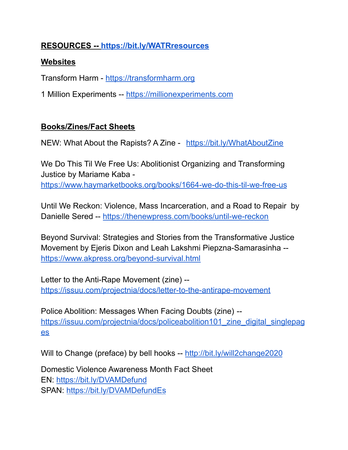# **RESOURCES -- <https://bit.ly/WATRresources>**

#### **Websites**

Transform Harm - [https://transformharm.org](https://transformharm.org/)

1 Million Experiments -- [https://millionexperiments.com](https://millionexperiments.com/)

## **Books/Zines/Fact Sheets**

NEW: What About the Rapists? A Zine - [https://bit.ly/WhatAboutZine](https://na01.safelinks.protection.outlook.com/?url=https%3A%2F%2Fbit.ly%2FWhatAboutZine&data=04%7C01%7C%7Caf50ca09de374f87b8ff08d9563e8afb%7C84df9e7fe9f640afb435aaaaaaaaaaaa%7C1%7C0%7C637635648887538577%7CUnknown%7CTWFpbGZsb3d8eyJWIjoiMC4wLjAwMDAiLCJQIjoiV2luMzIiLCJBTiI6Ik1haWwiLCJXVCI6Mn0%3D%7C1000&sdata=qqyDOLywoU03Yx6EbaN8gEWGNkV1avySCap4P7SYFE0%3D&reserved=0)

We Do This Til We Free Us: Abolitionist Organizing and Transforming Justice by Mariame Kaba -

<https://www.haymarketbooks.org/books/1664-we-do-this-til-we-free-us>

Until We Reckon: Violence, Mass Incarceration, and a Road to Repair by Danielle Sered -- <https://thenewpress.com/books/until-we-reckon>

Beyond Survival: Strategies and Stories from the Transformative Justice Movement by Ejeris Dixon and Leah Lakshmi Piepzna-Samarasinha - <https://www.akpress.org/beyond-survival.html>

Letter to the Anti-Rape Movement (zine) - <https://issuu.com/projectnia/docs/letter-to-the-antirape-movement>

Police Abolition: Messages When Facing Doubts (zine) - https://issuu.com/projectnia/docs/policeabolition101 zine\_digital\_singlepag [es](https://issuu.com/projectnia/docs/policeabolition101_zine_digital_singlepages)

Will to Change (preface) by bell hooks -- <http://bit.ly/will2change2020>

Domestic Violence Awareness Month Fact Sheet EN: <https://bit.ly/DVAMDefund> SPAN: <https://bit.ly/DVAMDefundEs>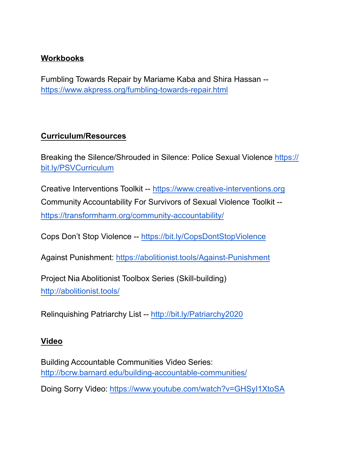## **Workbooks**

Fumbling Towards Repair by Mariame Kaba and Shira Hassan - <https://www.akpress.org/fumbling-towards-repair.html>

## **Curriculum/Resources**

[Breaking the Silence/Shrouded in Silence: Police Sexual](https://bit.ly/PSVCurriculum) Violence https:// bit.ly/PSVCurriculum

Creative Interventions Toolkit -- [https://www.creative-interventions.org](https://www.creative-interventions.org/) Community Accountability For Survivors of Sexual Violence Toolkit - <https://transformharm.org/community-accountability/>

Cops Don't Stop Violence -- [https://bit.ly/CopsDontStopViolence](https://na01.safelinks.protection.outlook.com/?url=https%3A%2F%2Fbit.ly%2FCopsDontStopViolence&data=04%7C01%7C%7C42251c73e41e4642d22308d9510ddf99%7C84df9e7fe9f640afb435aaaaaaaaaaaa%7C1%7C0%7C637629942290057727%7CUnknown%7CTWFpbGZsb3d8eyJWIjoiMC4wLjAwMDAiLCJQIjoiV2luMzIiLCJBTiI6Ik1haWwiLCJXVCI6Mn0%3D%7C1000&sdata=EY6AI%2FavxWNxp1f7CcfK87YjkGJoFnSCQhRAtTKVOlQ%3D&reserved=0)

Against Punishment: <https://abolitionist.tools/Against-Punishment>

Project Nia Abolitionist Toolbox Series (Skill-building) [http://abolitionist.tools/](https://na01.safelinks.protection.outlook.com/?url=http%3A%2F%2Fabolitionist.tools%2F&data=04%7C01%7C%7C26e2b431b7534fa47a8908d8cf9860d8%7C84df9e7fe9f640afb435aaaaaaaaaaaa%7C1%7C0%7C637487600648902622%7CUnknown%7CTWFpbGZsb3d8eyJWIjoiMC4wLjAwMDAiLCJQIjoiV2luMzIiLCJBTiI6Ik1haWwiLCJXVCI6Mn0%3D%7C1000&sdata=BJe%2BcbZ%2FpRMpJXhxAkzTxeJyMSEKF7JkVu0O1T%2Fpxcg%3D&reserved=0)

Relinquishing Patriarchy List -- <http://bit.ly/Patriarchy2020>

#### **Video**

Building Accountable Communities Video Series: <http://bcrw.barnard.edu/building-accountable-communities/>

Doing Sorry Video: <https://www.youtube.com/watch?v=GHSyI1XtoSA>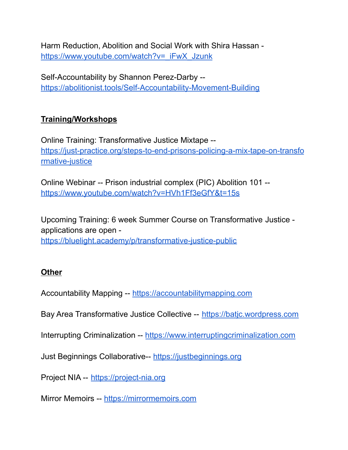Harm Reduction, Abolition and Social Work with Shira Hassan [https://www.youtube.com/watch?v=\\_iFwX\\_Jzunk](https://www.youtube.com/watch?v=_iFwX_Jzunk)

Self-Accountability by Shannon Perez-Darby - <https://abolitionist.tools/Self-Accountability-Movement-Building>

# **Training/Workshops**

Online Training: Transformative Justice Mixtape - [https://just-practice.org/steps-to-end-prisons-policing-a-mix-tape-on-transfo](https://just-practice.org/steps-to-end-prisons-policing-a-mix-tape-on-transformative-justice) [rmative-justice](https://just-practice.org/steps-to-end-prisons-policing-a-mix-tape-on-transformative-justice)

Online Webinar -- Prison industrial complex (PIC) Abolition 101 - <https://www.youtube.com/watch?v=HVh1Ff3eGfY&t=15s>

Upcoming Training: 6 week Summer Course on Transformative Justice applications are open -

<https://bluelight.academy/p/transformative-justice-public>

#### **Other**

Accountability Mapping -- <https://accountabilitymapping.com>

Bay Area Transformative Justice Collective -- <https://batjc.wordpress.com>

Interrupting Criminalization -- <https://www.interruptingcriminalization.com>

Just Beginnings Collaborative-- <https://justbeginnings.org>

Project NIA -- <https://project-nia.org>

Mirror Memoirs -- <https://mirrormemoirs.com>